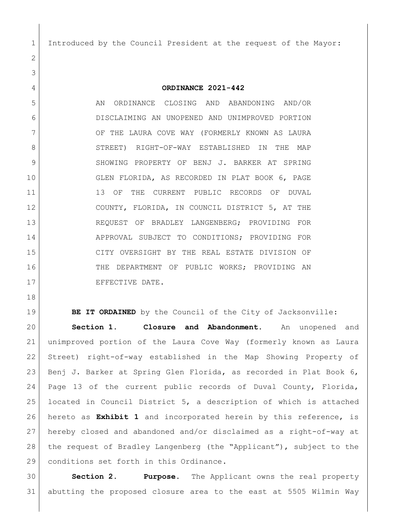Introduced by the Council President at the request of the Mayor:

**ORDINANCE 2021-442**

5 AN ORDINANCE CLOSING AND ABANDONING AND/OR DISCLAIMING AN UNOPENED AND UNIMPROVED PORTION 7 OF THE LAURA COVE WAY (FORMERLY KNOWN AS LAURA STREET) RIGHT-OF-WAY ESTABLISHED IN THE MAP 9 SHOWING PROPERTY OF BENJ J. BARKER AT SPRING GLEN FLORIDA, AS RECORDED IN PLAT BOOK 6, PAGE 11 13 OF THE CURRENT PUBLIC RECORDS OF DUVAL COUNTY, FLORIDA, IN COUNCIL DISTRICT 5, AT THE REQUEST OF BRADLEY LANGENBERG; PROVIDING FOR 14 APPROVAL SUBJECT TO CONDITIONS; PROVIDING FOR CITY OVERSIGHT BY THE REAL ESTATE DIVISION OF 16 THE DEPARTMENT OF PUBLIC WORKS; PROVIDING AN 17 EFFECTIVE DATE.

**BE IT ORDAINED** by the Council of the City of Jacksonville: **Section 1. Closure and Abandonment.** An unopened and unimproved portion of the Laura Cove Way (formerly known as Laura Street) right-of-way established in the Map Showing Property of Benj J. Barker at Spring Glen Florida, as recorded in Plat Book 6, Page 13 of the current public records of Duval County, Florida, located in Council District 5, a description of which is attached hereto as **Exhibit 1** and incorporated herein by this reference, is hereby closed and abandoned and/or disclaimed as a right-of-way at the request of Bradley Langenberg (the "Applicant"), subject to the 29 conditions set forth in this Ordinance.

 **Section 2. Purpose.** The Applicant owns the real property abutting the proposed closure area to the east at 5505 Wilmin Way